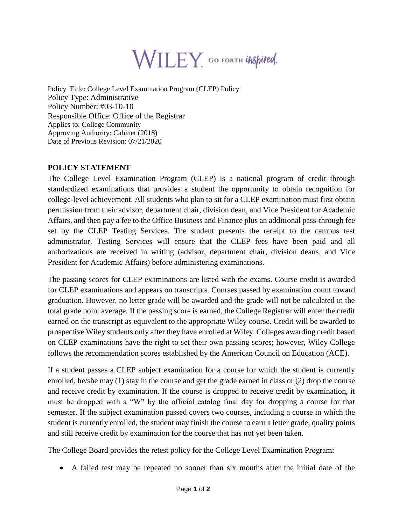

Policy Title: College Level Examination Program (CLEP) Policy Policy Type: Administrative Policy Number: #03-10-10 Responsible Office: Office of the Registrar Applies to: College Community Approving Authority: Cabinet (2018) Date of Previous Revision: 07/21/2020

## **POLICY STATEMENT**

The College Level Examination Program (CLEP) is a national program of credit through standardized examinations that provides a student the opportunity to obtain recognition for college-level achievement. All students who plan to sit for a CLEP examination must first obtain permission from their advisor, department chair, division dean, and Vice President for Academic Affairs, and then pay a fee to the Office Business and Finance plus an additional pass-through fee set by the CLEP Testing Services. The student presents the receipt to the campus test administrator. Testing Services will ensure that the CLEP fees have been paid and all authorizations are received in writing (advisor, department chair, division deans, and Vice President for Academic Affairs) before administering examinations.

The passing scores for CLEP examinations are listed with the exams. Course credit is awarded for CLEP examinations and appears on transcripts. Courses passed by examination count toward graduation. However, no letter grade will be awarded and the grade will not be calculated in the total grade point average. If the passing score is earned, the College Registrar will enter the credit earned on the transcript as equivalent to the appropriate Wiley course. Credit will be awarded to prospective Wiley students only after they have enrolled at Wiley. Colleges awarding credit based on CLEP examinations have the right to set their own passing scores; however, Wiley College follows the recommendation scores established by the American Council on Education (ACE).

If a student passes a CLEP subject examination for a course for which the student is currently enrolled, he/she may (1) stay in the course and get the grade earned in class or (2) drop the course and receive credit by examination. If the course is dropped to receive credit by examination, it must be dropped with a "W" by the official catalog final day for dropping a course for that semester. If the subject examination passed covers two courses, including a course in which the student is currently enrolled, the student may finish the course to earn a letter grade, quality points and still receive credit by examination for the course that has not yet been taken.

The College Board provides the retest policy for the College Level Examination Program:

A failed test may be repeated no sooner than six months after the initial date of the